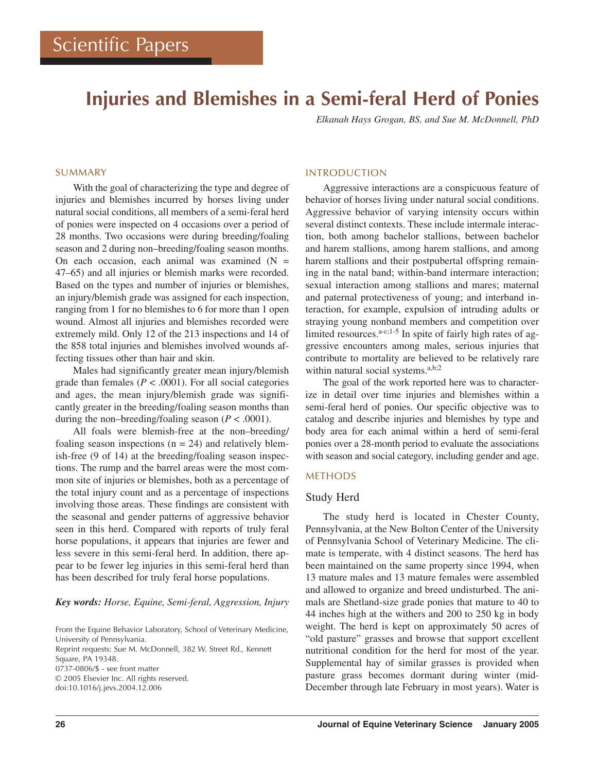# **Injuries and Blemishes in a Semi-feral Herd of Ponies**

*Elkanah Hays Grogan, BS, and Sue M. McDonnell, PhD*

# SUMMARY

With the goal of characterizing the type and degree of injuries and blemishes incurred by horses living under natural social conditions, all members of a semi-feral herd of ponies were inspected on 4 occasions over a period of 28 months. Two occasions were during breeding/foaling season and 2 during non–breeding/foaling season months. On each occasion, each animal was examined  $(N =$ 47–65) and all injuries or blemish marks were recorded. Based on the types and number of injuries or blemishes, an injury/blemish grade was assigned for each inspection, ranging from 1 for no blemishes to 6 for more than 1 open wound. Almost all injuries and blemishes recorded were extremely mild. Only 12 of the 213 inspections and 14 of the 858 total injuries and blemishes involved wounds affecting tissues other than hair and skin.

Males had significantly greater mean injury/blemish grade than females ( $P < .0001$ ). For all social categories and ages, the mean injury/blemish grade was significantly greater in the breeding/foaling season months than during the non–breeding/foaling season  $(P < .0001)$ .

All foals were blemish-free at the non–breeding/ foaling season inspections  $(n = 24)$  and relatively blemish-free (9 of 14) at the breeding/foaling season inspections. The rump and the barrel areas were the most common site of injuries or blemishes, both as a percentage of the total injury count and as a percentage of inspections involving those areas. These findings are consistent with the seasonal and gender patterns of aggressive behavior seen in this herd. Compared with reports of truly feral horse populations, it appears that injuries are fewer and less severe in this semi-feral herd. In addition, there appear to be fewer leg injuries in this semi-feral herd than has been described for truly feral horse populations.

### *Key words: Horse, Equine, Semi-feral, Aggression, Injury*

From the Equine Behavior Laboratory, School of Veterinary Medicine, University of Pennsylvania. Reprint requests: Sue M. McDonnell, 382 W. Street Rd., Kennett Square, PA 19348. 0737-0806/\$ - see front matter © 2005 Elsevier Inc. All rights reserved. doi:10.1016/j.jevs.2004.12.006

#### INTRODUCTION

Aggressive interactions are a conspicuous feature of behavior of horses living under natural social conditions. Aggressive behavior of varying intensity occurs within several distinct contexts. These include intermale interaction, both among bachelor stallions, between bachelor and harem stallions, among harem stallions, and among harem stallions and their postpubertal offspring remaining in the natal band; within-band intermare interaction; sexual interaction among stallions and mares; maternal and paternal protectiveness of young; and interband interaction, for example, expulsion of intruding adults or straying young nonband members and competition over limited resources. $a-c;1-5$  In spite of fairly high rates of aggressive encounters among males, serious injuries that contribute to mortality are believed to be relatively rare within natural social systems.<sup>a,b;2</sup>

The goal of the work reported here was to characterize in detail over time injuries and blemishes within a semi-feral herd of ponies. Our specific objective was to catalog and describe injuries and blemishes by type and body area for each animal within a herd of semi-feral ponies over a 28-month period to evaluate the associations with season and social category, including gender and age.

## METHODS

## Study Herd

The study herd is located in Chester County, Pennsylvania, at the New Bolton Center of the University of Pennsylvania School of Veterinary Medicine. The climate is temperate, with 4 distinct seasons. The herd has been maintained on the same property since 1994, when 13 mature males and 13 mature females were assembled and allowed to organize and breed undisturbed. The animals are Shetland-size grade ponies that mature to 40 to 44 inches high at the withers and 200 to 250 kg in body weight. The herd is kept on approximately 50 acres of "old pasture" grasses and browse that support excellent nutritional condition for the herd for most of the year. Supplemental hay of similar grasses is provided when pasture grass becomes dormant during winter (mid-December through late February in most years). Water is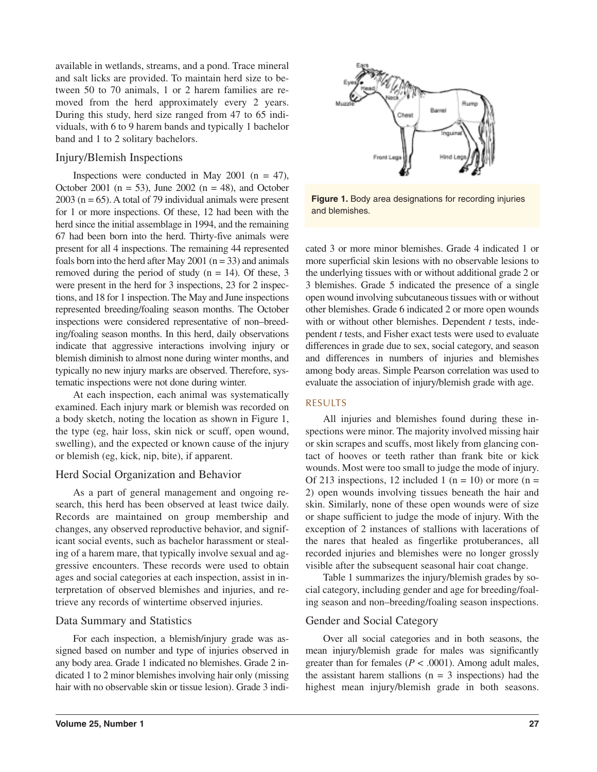available in wetlands, streams, and a pond. Trace mineral and salt licks are provided. To maintain herd size to between 50 to 70 animals, 1 or 2 harem families are removed from the herd approximately every 2 years. During this study, herd size ranged from 47 to 65 individuals, with 6 to 9 harem bands and typically 1 bachelor band and 1 to 2 solitary bachelors.

# Injury/Blemish Inspections

Inspections were conducted in May 2001 ( $n = 47$ ), October 2001 ( $n = 53$ ), June 2002 ( $n = 48$ ), and October  $2003$  (n = 65). A total of 79 individual animals were present for 1 or more inspections. Of these, 12 had been with the herd since the initial assemblage in 1994, and the remaining 67 had been born into the herd. Thirty-five animals were present for all 4 inspections. The remaining 44 represented foals born into the herd after May 2001 ( $n = 33$ ) and animals removed during the period of study ( $n = 14$ ). Of these, 3 were present in the herd for 3 inspections, 23 for 2 inspections, and 18 for 1 inspection. The May and June inspections represented breeding/foaling season months. The October inspections were considered representative of non–breeding/foaling season months. In this herd, daily observations indicate that aggressive interactions involving injury or blemish diminish to almost none during winter months, and typically no new injury marks are observed. Therefore, systematic inspections were not done during winter.

At each inspection, each animal was systematically examined. Each injury mark or blemish was recorded on a body sketch, noting the location as shown in Figure 1, the type (eg, hair loss, skin nick or scuff, open wound, swelling), and the expected or known cause of the injury or blemish (eg, kick, nip, bite), if apparent.

# Herd Social Organization and Behavior

As a part of general management and ongoing research, this herd has been observed at least twice daily. Records are maintained on group membership and changes, any observed reproductive behavior, and significant social events, such as bachelor harassment or stealing of a harem mare, that typically involve sexual and aggressive encounters. These records were used to obtain ages and social categories at each inspection, assist in interpretation of observed blemishes and injuries, and retrieve any records of wintertime observed injuries.

# Data Summary and Statistics

For each inspection, a blemish/injury grade was assigned based on number and type of injuries observed in any body area. Grade 1 indicated no blemishes. Grade 2 indicated 1 to 2 minor blemishes involving hair only (missing hair with no observable skin or tissue lesion). Grade 3 indi-



**Figure 1.** Body area designations for recording injuries and blemishes.

cated 3 or more minor blemishes. Grade 4 indicated 1 or more superficial skin lesions with no observable lesions to the underlying tissues with or without additional grade 2 or 3 blemishes. Grade 5 indicated the presence of a single open wound involving subcutaneous tissues with or without other blemishes. Grade 6 indicated 2 or more open wounds with or without other blemishes. Dependent *t* tests, independent *t* tests, and Fisher exact tests were used to evaluate differences in grade due to sex, social category, and season and differences in numbers of injuries and blemishes among body areas. Simple Pearson correlation was used to evaluate the association of injury/blemish grade with age.

# RESULTS

All injuries and blemishes found during these inspections were minor. The majority involved missing hair or skin scrapes and scuffs, most likely from glancing contact of hooves or teeth rather than frank bite or kick wounds. Most were too small to judge the mode of injury. Of 213 inspections, 12 included 1 ( $n = 10$ ) or more ( $n =$ 2) open wounds involving tissues beneath the hair and skin. Similarly, none of these open wounds were of size or shape sufficient to judge the mode of injury. With the exception of 2 instances of stallions with lacerations of the nares that healed as fingerlike protuberances, all recorded injuries and blemishes were no longer grossly visible after the subsequent seasonal hair coat change.

Table 1 summarizes the injury/blemish grades by social category, including gender and age for breeding/foaling season and non–breeding/foaling season inspections.

# Gender and Social Category

Over all social categories and in both seasons, the mean injury/blemish grade for males was significantly greater than for females ( $P < .0001$ ). Among adult males, the assistant harem stallions  $(n = 3$  inspections) had the highest mean injury/blemish grade in both seasons.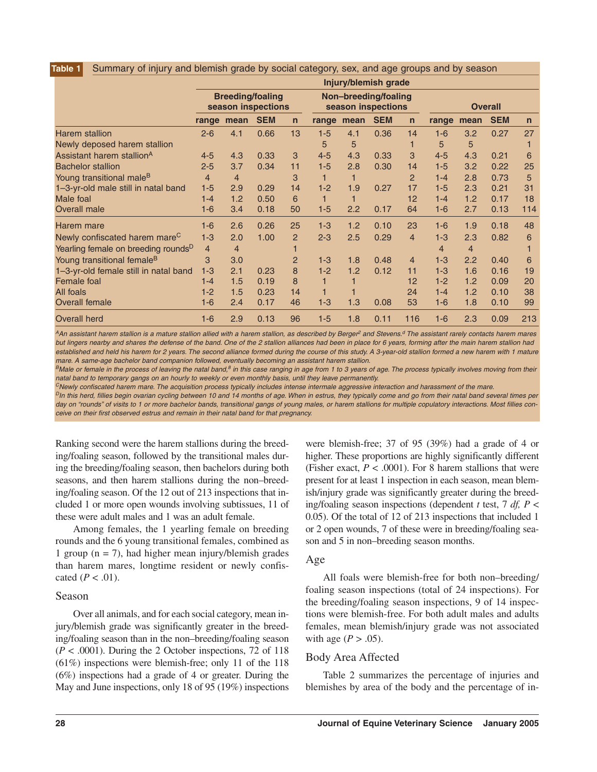#### Summary of injury and blemish grade by social category, sex, and age groups and by season **Table 1**

|                                                 | Injury/blemish grade                          |                |            |                |                                            |                         |            |                |                |                |            |              |
|-------------------------------------------------|-----------------------------------------------|----------------|------------|----------------|--------------------------------------------|-------------------------|------------|----------------|----------------|----------------|------------|--------------|
|                                                 | <b>Breeding/foaling</b><br>season inspections |                |            |                | Non-breeding/foaling<br>season inspections |                         |            |                | <b>Overall</b> |                |            |              |
|                                                 | range                                         | mean           | <b>SEM</b> | $\overline{n}$ | range                                      | mean                    | <b>SEM</b> | $\mathsf{n}$   | range          | mean           | <b>SEM</b> | $\mathsf{n}$ |
| <b>Harem stallion</b>                           | $2 - 6$                                       | 4.1            | 0.66       | 13             | $1-5$                                      | 4.1                     | 0.36       | 14             | $1-6$          | 3.2            | 0.27       | 27           |
| Newly deposed harem stallion                    |                                               |                |            |                | 5                                          | 5                       |            |                | 5              | 5              |            |              |
| Assistant harem stallion <sup>A</sup>           | $4 - 5$                                       | 4.3            | 0.33       | 3              | $4 - 5$                                    | 4.3                     | 0.33       | 3              | $4 - 5$        | 4.3            | 0.21       | 6            |
| <b>Bachelor stallion</b>                        | $2 - 5$                                       | 3.7            | 0.34       | 11             | $1 - 5$                                    | 2.8                     | 0.30       | 14             | $1 - 5$        | 3.2            | 0.22       | 25           |
| Young transitional male <sup>B</sup>            | $\overline{4}$                                | $\overline{4}$ |            | 3              | 1                                          | 1                       |            | $\overline{2}$ | $1 - 4$        | 2.8            | 0.73       | 5            |
| 1-3-yr-old male still in natal band             | $1 - 5$                                       | 2.9            | 0.29       | 14             | $1 - 2$                                    | 1.9                     | 0.27       | 17             | $1 - 5$        | 2.3            | 0.21       | 31           |
| Male foal                                       | $1 - 4$                                       | 1.2            | 0.50       | 6              | 1                                          | $\overline{\mathbf{1}}$ |            | 12             | $1 - 4$        | 1.2            | 0.17       | 18           |
| Overall male                                    | $1-6$                                         | 3.4            | 0.18       | 50             | $1 - 5$                                    | 2.2                     | 0.17       | 64             | $1-6$          | 2.7            | 0.13       | 114          |
| Harem mare                                      | $1-6$                                         | 2.6            | 0.26       | 25             | $1 - 3$                                    | 1.2                     | 0.10       | 23             | $1-6$          | 1.9            | 0.18       | 48           |
| Newly confiscated harem mare <sup>C</sup>       | $1 - 3$                                       | 2.0            | 1.00       | $\overline{2}$ | $2 - 3$                                    | 2.5                     | 0.29       | $\overline{4}$ | $1 - 3$        | 2.3            | 0.82       | 6            |
| Yearling female on breeding rounds <sup>D</sup> | $\overline{4}$                                | $\overline{4}$ |            |                |                                            |                         |            |                | $\overline{4}$ | $\overline{4}$ |            |              |
| Young transitional female <sup>B</sup>          | 3                                             | 3.0            |            | $\overline{2}$ | $1 - 3$                                    | 1.8                     | 0.48       | $\overline{4}$ | $1 - 3$        | 2.2            | 0.40       | 6            |
| 1-3-yr-old female still in natal band           | $1 - 3$                                       | 2.1            | 0.23       | 8              | $1 - 2$                                    | 1.2                     | 0.12       | 11             | $1 - 3$        | 1.6            | 0.16       | 19           |
| Female foal                                     | $1 - 4$                                       | 1.5            | 0.19       | 8              |                                            |                         |            | 12             | $1 - 2$        | 1.2            | 0.09       | 20           |
| All foals                                       | $1 - 2$                                       | 1.5            | 0.23       | 14             |                                            |                         |            | 24             | $1 - 4$        | 1.2            | 0.10       | 38           |
| <b>Overall female</b>                           | $1-6$                                         | 2.4            | 0.17       | 46             | $1 - 3$                                    | 1.3                     | 0.08       | 53             | $1-6$          | 1.8            | 0.10       | 99           |
| <b>Overall herd</b>                             | $1-6$                                         | 2.9            | 0.13       | 96             | $1-5$                                      | 1.8                     | 0.11       | 116            | $1-6$          | 2.3            | 0.09       | 213          |

 $^{\prime}$ An assistant harem stallion is a mature stallion allied with a harem stallion, as described by Berger<sup>2</sup> and Stevens.<sup>d</sup> The assistant rarely contacts harem mares *but lingers nearby and shares the defense of the band. One of the 2 stallion alliances had been in place for 6 years, forming after the main harem stallion had established and held his harem for 2 years. The second alliance formed during the course of this study. A 3-year-old stallion formed a new harem with 1 mature mare. A same-age bachelor band companion followed, eventually becoming an assistant harem stallion.*

*BMale or female in the process of leaving the natal band,8 in this case ranging in age from 1 to 3 years of age. The process typically involves moving from their natal band to temporary gangs on an hourly to weekly or even monthly basis, until they leave permanently.*

*CNewly confiscated harem mare. The acquisition process typically includes intense intermale aggressive interaction and harassment of the mare.*

*DIn this herd, fillies begin ovarian cycling between 10 and 14 months of age. When in estrus, they typically come and go from their natal band several times per* day on "rounds" of visits to 1 or more bachelor bands, transitional gangs of young males, or harem stallions for multiple copulatory interactions. Most fillies con*ceive on their first observed estrus and remain in their natal band for that pregnancy.*

Ranking second were the harem stallions during the breeding/foaling season, followed by the transitional males during the breeding/foaling season, then bachelors during both seasons, and then harem stallions during the non–breeding/foaling season. Of the 12 out of 213 inspections that included 1 or more open wounds involving subtissues, 11 of these were adult males and 1 was an adult female.

Among females, the 1 yearling female on breeding rounds and the 6 young transitional females, combined as 1 group ( $n = 7$ ), had higher mean injury/blemish grades than harem mares, longtime resident or newly confiscated  $(P < .01)$ .

# Season

Over all animals, and for each social category, mean injury/blemish grade was significantly greater in the breeding/foaling season than in the non–breeding/foaling season  $(P < .0001)$ . During the 2 October inspections, 72 of 118 (61%) inspections were blemish-free; only 11 of the 118 (6%) inspections had a grade of 4 or greater. During the May and June inspections, only 18 of 95 (19%) inspections

were blemish-free; 37 of 95 (39%) had a grade of 4 or higher. These proportions are highly significantly different (Fisher exact,  $P < .0001$ ). For 8 harem stallions that were present for at least 1 inspection in each season, mean blemish/injury grade was significantly greater during the breeding/foaling season inspections (dependent *t* test, 7 *df, P* < 0.05). Of the total of 12 of 213 inspections that included 1 or 2 open wounds, 7 of these were in breeding/foaling season and 5 in non–breeding season months.

# Age

All foals were blemish-free for both non–breeding/ foaling season inspections (total of 24 inspections). For the breeding/foaling season inspections, 9 of 14 inspections were blemish-free. For both adult males and adults females, mean blemish/injury grade was not associated with age  $(P > .05)$ .

# Body Area Affected

Table 2 summarizes the percentage of injuries and blemishes by area of the body and the percentage of in-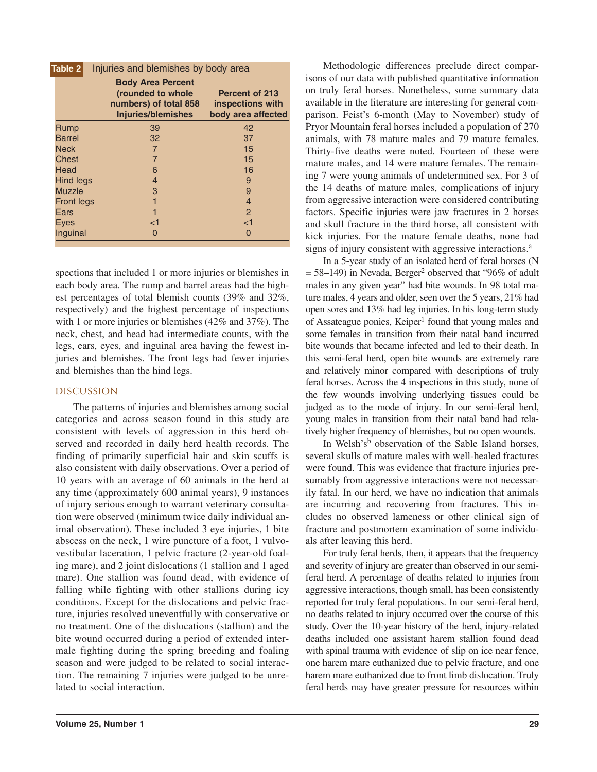| Injuries and blemishes by body area<br>Table 2 |                                                                                                     |                                                                 |  |  |  |  |  |
|------------------------------------------------|-----------------------------------------------------------------------------------------------------|-----------------------------------------------------------------|--|--|--|--|--|
|                                                | <b>Body Area Percent</b><br>(rounded to whole<br>numbers) of total 858<br><b>Injuries/blemishes</b> | <b>Percent of 213</b><br>inspections with<br>body area affected |  |  |  |  |  |
| Rump                                           | 39                                                                                                  | 42                                                              |  |  |  |  |  |
| <b>Barrel</b>                                  | 32                                                                                                  | 37                                                              |  |  |  |  |  |
| <b>Neck</b>                                    | $\overline{7}$                                                                                      | 15                                                              |  |  |  |  |  |
| <b>Chest</b>                                   | $\overline{7}$                                                                                      | 15                                                              |  |  |  |  |  |
| Head                                           | 6                                                                                                   | 16                                                              |  |  |  |  |  |
| <b>Hind legs</b>                               | 4                                                                                                   | 9                                                               |  |  |  |  |  |
| <b>Muzzle</b>                                  | 3                                                                                                   | 9                                                               |  |  |  |  |  |
| <b>Front legs</b>                              |                                                                                                     | $\overline{4}$                                                  |  |  |  |  |  |
| Ears                                           | 1                                                                                                   | 2                                                               |  |  |  |  |  |
| <b>Eves</b>                                    | ا>                                                                                                  | <1                                                              |  |  |  |  |  |
| Inquinal                                       | 0                                                                                                   | 0                                                               |  |  |  |  |  |

spections that included 1 or more injuries or blemishes in each body area. The rump and barrel areas had the highest percentages of total blemish counts (39% and 32%, respectively) and the highest percentage of inspections with 1 or more injuries or blemishes (42% and 37%). The neck, chest, and head had intermediate counts, with the legs, ears, eyes, and inguinal area having the fewest injuries and blemishes. The front legs had fewer injuries and blemishes than the hind legs.

# DISCUSSION

The patterns of injuries and blemishes among social categories and across season found in this study are consistent with levels of aggression in this herd observed and recorded in daily herd health records. The finding of primarily superficial hair and skin scuffs is also consistent with daily observations. Over a period of 10 years with an average of 60 animals in the herd at any time (approximately 600 animal years), 9 instances of injury serious enough to warrant veterinary consultation were observed (minimum twice daily individual animal observation). These included 3 eye injuries, 1 bite abscess on the neck, 1 wire puncture of a foot, 1 vulvovestibular laceration, 1 pelvic fracture (2-year-old foaling mare), and 2 joint dislocations (1 stallion and 1 aged mare). One stallion was found dead, with evidence of falling while fighting with other stallions during icy conditions. Except for the dislocations and pelvic fracture, injuries resolved uneventfully with conservative or no treatment. One of the dislocations (stallion) and the bite wound occurred during a period of extended intermale fighting during the spring breeding and foaling season and were judged to be related to social interaction. The remaining 7 injuries were judged to be unrelated to social interaction.

Methodologic differences preclude direct comparisons of our data with published quantitative information on truly feral horses. Nonetheless, some summary data available in the literature are interesting for general comparison. Feist's 6-month (May to November) study of Pryor Mountain feral horses included a population of 270 animals, with 78 mature males and 79 mature females. Thirty-five deaths were noted. Fourteen of these were mature males, and 14 were mature females. The remaining 7 were young animals of undetermined sex. For 3 of the 14 deaths of mature males, complications of injury from aggressive interaction were considered contributing factors. Specific injuries were jaw fractures in 2 horses and skull fracture in the third horse, all consistent with kick injuries. For the mature female deaths, none had signs of injury consistent with aggressive interactions.<sup>a</sup>

In a 5-year study of an isolated herd of feral horses (N  $= 58-149$ ) in Nevada, Berger<sup>2</sup> observed that "96% of adult males in any given year" had bite wounds. In 98 total mature males, 4 years and older, seen over the 5 years, 21% had open sores and 13% had leg injuries. In his long-term study of Assateague ponies, Keiper<sup>1</sup> found that young males and some females in transition from their natal band incurred bite wounds that became infected and led to their death. In this semi-feral herd, open bite wounds are extremely rare and relatively minor compared with descriptions of truly feral horses. Across the 4 inspections in this study, none of the few wounds involving underlying tissues could be judged as to the mode of injury. In our semi-feral herd, young males in transition from their natal band had relatively higher frequency of blemishes, but no open wounds.

In Welsh's<sup>b</sup> observation of the Sable Island horses, several skulls of mature males with well-healed fractures were found. This was evidence that fracture injuries presumably from aggressive interactions were not necessarily fatal. In our herd, we have no indication that animals are incurring and recovering from fractures. This includes no observed lameness or other clinical sign of fracture and postmortem examination of some individuals after leaving this herd.

For truly feral herds, then, it appears that the frequency and severity of injury are greater than observed in our semiferal herd. A percentage of deaths related to injuries from aggressive interactions, though small, has been consistently reported for truly feral populations. In our semi-feral herd, no deaths related to injury occurred over the course of this study. Over the 10-year history of the herd, injury-related deaths included one assistant harem stallion found dead with spinal trauma with evidence of slip on ice near fence, one harem mare euthanized due to pelvic fracture, and one harem mare euthanized due to front limb dislocation. Truly feral herds may have greater pressure for resources within